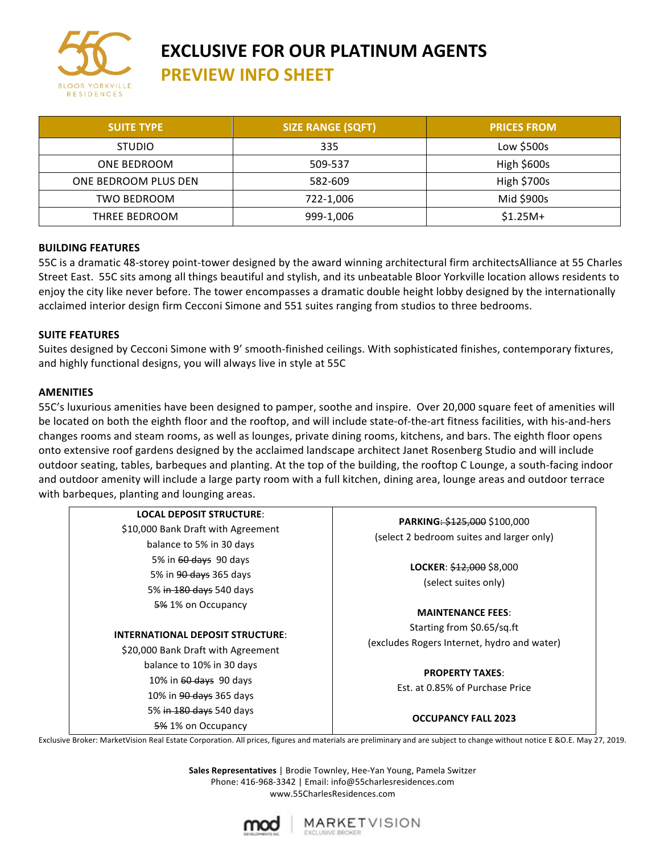

#### **EXCLUSIVE FOR OUR PLATINUM AGENTS PREVIEW INFO SHEET**

| <b>SUITE TYPE</b>    | <b>SIZE RANGE (SQFT)</b> | <b>PRICES FROM</b> |
|----------------------|--------------------------|--------------------|
| <b>STUDIO</b>        | 335                      | Low $$500s$        |
| ONE BEDROOM          | 509-537                  | High \$600s        |
| ONE BEDROOM PLUS DEN | 582-609                  | <b>High \$700s</b> |
| TWO BEDROOM          | 722-1,006                | Mid \$900s         |
| THREE BEDROOM        | 999-1,006                | $$1.25M+$          |

#### **BUILDING FEATURES**

55C is a dramatic 48-storey point-tower designed by the award winning architectural firm architectsAlliance at 55 Charles Street East. 55C sits among all things beautiful and stylish, and its unbeatable Bloor Yorkville location allows residents to enjoy the city like never before. The tower encompasses a dramatic double height lobby designed by the internationally acclaimed interior design firm Cecconi Simone and 551 suites ranging from studios to three bedrooms.

#### **SUITE FEATURES**

Suites designed by Cecconi Simone with 9' smooth-finished ceilings. With sophisticated finishes, contemporary fixtures, and highly functional designs, you will always live in style at 55C

#### **AMENITIES**

55C's luxurious amenities have been designed to pamper, soothe and inspire. Over 20,000 square feet of amenities will be located on both the eighth floor and the rooftop, and will include state-of-the-art fitness facilities, with his-and-hers changes rooms and steam rooms, as well as lounges, private dining rooms, kitchens, and bars. The eighth floor opens onto extensive roof gardens designed by the acclaimed landscape architect Janet Rosenberg Studio and will include outdoor seating, tables, barbeques and planting. At the top of the building, the rooftop C Lounge, a south-facing indoor and outdoor amenity will include a large party room with a full kitchen, dining area, lounge areas and outdoor terrace with barbeques, planting and lounging areas.

| PARKING: \$125,000 \$100,000<br>(select 2 bedroom suites and larger only)                           |  |                                                                               |  |
|-----------------------------------------------------------------------------------------------------|--|-------------------------------------------------------------------------------|--|
|                                                                                                     |  | <b>LOCKER: <math>\frac{212,000}{2}</math></b> \$8,000<br>(select suites only) |  |
|                                                                                                     |  |                                                                               |  |
| Starting from \$0.65/sq.ft<br>(excludes Rogers Internet, hydro and water)<br><b>PROPERTY TAXES:</b> |  |                                                                               |  |
|                                                                                                     |  | Est. at 0.85% of Purchase Price                                               |  |
|                                                                                                     |  |                                                                               |  |
|                                                                                                     |  | <b>OCCUPANCY FALL 2023</b>                                                    |  |
|                                                                                                     |  |                                                                               |  |

Exclusive Broker: MarketVision Real Estate Corporation. All prices, figures and materials are preliminary and are subject to change without notice E &O.E. May 27, 2019.

Sales Representatives | Brodie Townley, Hee-Yan Young, Pamela Switzer Phone: 416-968-3342 | Email: info@55charlesresidences.com www.55CharlesResidences.com